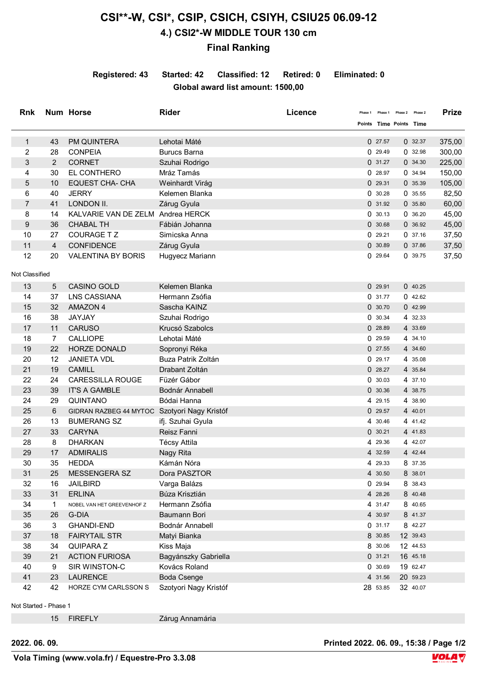## **CSI\*\*-W, CSI\*, CSIP, CSICH, CSIYH, CSIU25 06.09-12 4.) CSI2\*-W MIDDLE TOUR 130 cm**

## **Final Ranking**

**Registered: 43 Started: 42 Classified: 12 Retired: 0 Eliminated: 0 Global award list amount: 1500,00**

| <b>Rnk</b>     |                | Num Horse                                    | <b>Rider</b>          | Licence                 |          | Phase 1 Phase 2 Phase 2 |          | <b>Prize</b> |
|----------------|----------------|----------------------------------------------|-----------------------|-------------------------|----------|-------------------------|----------|--------------|
|                |                |                                              |                       | Points Time Points Time |          |                         |          |              |
| $\mathbf{1}$   | 43             | PM QUINTERA                                  | Lehotai Máté          |                         | 027.57   |                         | 0.32.37  | 375,00       |
| 2              | 28             | <b>CONPEIA</b>                               | <b>Burucs Barna</b>   |                         | 0.29.49  |                         | 0.32.98  | 300,00       |
| 3              | $\overline{2}$ | <b>CORNET</b>                                | Szuhai Rodrigo        |                         | 0.31.27  |                         | 0.34.30  | 225,00       |
| 4              | 30             | EL CONTHERO                                  | Mráz Tamás            |                         | 0.28.97  |                         | 0.34.94  | 150,00       |
| 5              | 10             | <b>EQUEST CHA- CHA</b>                       | Weinhardt Virág       |                         | 029.31   |                         | 035.39   | 105,00       |
| 6              | 40             | <b>JERRY</b>                                 | Kelemen Blanka        |                         | 0.30.28  |                         | 0.35.55  | 82,50        |
| 7              | 41             | LONDON II.                                   | Zárug Gyula           |                         | 0.31.92  |                         | 0.35.80  | 60,00        |
| 8              | 14             | KALVARIE VAN DE ZELM Andrea HERCK            |                       |                         | 0.30.13  |                         | 0.36.20  | 45,00        |
| 9              | 36             | <b>CHABAL TH</b>                             | Fábián Johanna        |                         | 0.30.68  |                         | 0 36.92  | 45,00        |
| 10             | 27             | <b>COURAGE T Z</b>                           | Simicska Anna         |                         | 029.21   |                         | 0.37.16  | 37,50        |
| 11             | $\overline{4}$ | <b>CONFIDENCE</b>                            | Zárug Gyula           |                         | 0.30.89  |                         | 037.86   | 37,50        |
| 12             | 20             | <b>VALENTINA BY BORIS</b>                    | Hugyecz Mariann       |                         | 0.29.64  |                         | 0 39.75  | 37,50        |
| Not Classified |                |                                              |                       |                         |          |                         |          |              |
| 13             | 5              | <b>CASINO GOLD</b>                           | Kelemen Blanka        |                         | 029.91   |                         | 040.25   |              |
| 14             | 37             | <b>LNS CASSIANA</b>                          | Hermann Zsófia        |                         | 0.31.77  |                         | 042.62   |              |
| 15             | 32             | <b>AMAZON 4</b>                              | Sascha KAINZ          |                         | 0.30.70  |                         | 042.99   |              |
| 16             | 38             | JAYJAY                                       | Szuhai Rodrigo        |                         | 0.30.34  |                         | 4 32.33  |              |
| 17             | 11             | <b>CARUSO</b>                                | Krucsó Szabolcs       |                         | 028.89   |                         | 4 33.69  |              |
| 18             | 7              | <b>CALLIOPE</b>                              | Lehotai Máté          |                         | 029.59   |                         | 4 34.10  |              |
| 19             | 22             | <b>HORZE DONALD</b>                          | Sopronyi Réka         |                         | 027.55   |                         | 4 34.60  |              |
| 20             | 12             | <b>JANIETA VDL</b>                           | Buza Patrik Zoltán    |                         | 0.29.17  |                         | 4 35.08  |              |
| 21             | 19             | <b>CAMILL</b>                                | Drabant Zoltán        |                         | 028.27   |                         | 4 35.84  |              |
| 22             | 24             | <b>CARESSILLA ROUGE</b>                      | Füzér Gábor           |                         | 0.30.03  |                         | 4 37.10  |              |
| 23             | 39             | <b>IT'S A GAMBLE</b>                         | Bodnár Annabell       |                         | 0.30.36  |                         | 4 38.75  |              |
| 24             | 29             | QUINTANO                                     | Bódai Hanna           |                         | 4 29.15  |                         | 4 38.90  |              |
| 25             | 6              | GIDRAN RAZBEG 44 MYTOC Szotyori Nagy Kristóf |                       |                         | 029.57   |                         | 4 40.01  |              |
| 26             | 13             | <b>BUMERANG SZ</b>                           | ifj. Szuhai Gyula     |                         | 4 30.46  |                         | 4 41.42  |              |
| 27             | 33             | <b>CARYNA</b>                                | Reisz Fanni           |                         | 0.30.21  |                         | 4 41.83  |              |
| 28             | 8              | <b>DHARKAN</b>                               | <b>Técsy Attila</b>   |                         | 4 29.36  |                         | 4 42.07  |              |
| 29             | 17             | <b>ADMIRALIS</b>                             | Nagy Rita             |                         | 4 32.59  |                         | 4 42.44  |              |
| 30             | 35             | HEDDA                                        | Kámán Nóra            |                         | 4 29.33  |                         | 8 37.35  |              |
| 31             | 25             | <b>MESSENGERA SZ</b>                         | Dora PASZTOR          |                         | 4 30.50  |                         | 8 38.01  |              |
| 32             | 16             | <b>JAILBIRD</b>                              | Varga Balázs          |                         | 0 29.94  |                         | 8 38.43  |              |
| 33             | 31             | <b>ERLINA</b>                                | Búza Krisztián        |                         | 4 28.26  |                         | 8 40.48  |              |
| 34             | 1              | NOBEL VAN HET GREEVENHOF Z                   | Hermann Zsófia        |                         | 4 31.47  |                         | 8 40.65  |              |
| 35             | 26             | G-DIA                                        | Baumann Bori          |                         | 4 30.97  |                         | 8 41.37  |              |
| 36             | 3              | <b>GHANDI-END</b>                            | Bodnár Annabell       |                         | 0.31.17  |                         | 8 42.27  |              |
| 37             | 18             | <b>FAIRYTAIL STR</b>                         | Matyi Bianka          |                         | 8 30.85  |                         | 12 39.43 |              |
| 38             | 34             | QUIPARA Z                                    | Kiss Maja             |                         | 8 30.06  |                         | 12 44.53 |              |
| 39             | 21             | <b>ACTION FURIOSA</b>                        | Bagyánszky Gabriella  |                         | 031.21   |                         | 16 45.18 |              |
| 40             | 9              | SIR WINSTON-C                                | Kovács Roland         |                         | 0.30.69  |                         | 19 62.47 |              |
| 41             | 23             | <b>LAURENCE</b>                              | Boda Csenge           |                         | 4 31.56  |                         | 20 59.23 |              |
| 42             | 42             | HORZE CYM CARLSSON S                         | Szotyori Nagy Kristóf |                         | 28 53.85 |                         | 32 40.07 |              |

Not Started - Phase 1

15 FIREFLY Zárug Annamária

**2022. 06. 09. Printed 2022. 06. 09., 15:38 / Page 1/2**